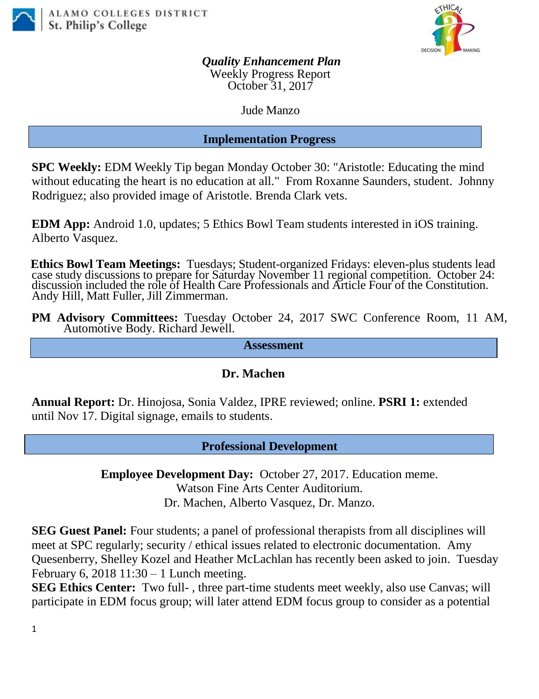



*Quality Enhancement Plan* Weekly Progress Report October 31, 2017

Jude Manzo

# **Implementation Progress**

**SPC Weekly:** EDM Weekly Tip began Monday October 30: "Aristotle: Educating the mind without educating the heart is no education at all." From Roxanne Saunders, student. Johnny Rodriguez; also provided image of Aristotle. Brenda Clark vets.

**EDM App:** Android 1.0, updates; 5 Ethics Bowl Team students interested in iOS training. Alberto Vasquez.

**Ethics Bowl Team Meetings:** Tuesdays; Student-organized Fridays: eleven-plus students lead case study discussions to prepare for Saturday November 11 regional competition. October 24: discussion included the role of Health Care Professionals and Article Four of the Constitution. Andy Hill, Matt Fuller, Jill Zimmerman.

**PM Advisory Committees:** Tuesday October 24, 2017 SWC Conference Room, 11 AM, Automotive Body. Richard Jewell.

**Assessment**

# **Dr. Machen**

**Annual Report:** Dr. Hinojosa, Sonia Valdez, IPRE reviewed; online. **PSRI 1:** extended until Nov 17. Digital signage, emails to students.

**Professional Development**

**Employee Development Day:** October 27, 2017. Education meme. Watson Fine Arts Center Auditorium. Dr. Machen, Alberto Vasquez, Dr. Manzo.

**SEG Guest Panel:** Four students; a panel of professional therapists from all disciplines will meet at SPC regularly; security / ethical issues related to electronic documentation. Amy Quesenberry, Shelley Kozel and Heather McLachlan has recently been asked to join. Tuesday February 6, 2018  $11:30 - 1$  Lunch meeting.

**SEG Ethics Center:** Two full- , three part-time students meet weekly, also use Canvas; will participate in EDM focus group; will later attend EDM focus group to consider as a potential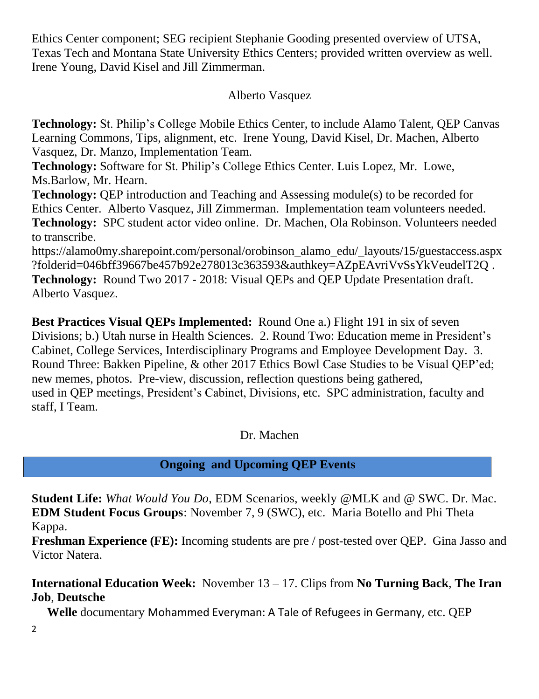Ethics Center component; SEG recipient Stephanie Gooding presented overview of UTSA, Texas Tech and Montana State University Ethics Centers; provided written overview as well. Irene Young, David Kisel and Jill Zimmerman.

# Alberto Vasquez

**Technology:** St. Philip's College Mobile Ethics Center, to include Alamo Talent, QEP Canvas Learning Commons, Tips, alignment, etc. Irene Young, David Kisel, Dr. Machen, Alberto Vasquez, Dr. Manzo, Implementation Team.

**Technology:** Software for St. Philip's College Ethics Center. Luis Lopez, Mr. Lowe, Ms.Barlow, Mr. Hearn.

**Technology:** QEP introduction and Teaching and Assessing module(s) to be recorded for Ethics Center. Alberto Vasquez, Jill Zimmerman. Implementation team volunteers needed. **Technology:** SPC student actor video online. Dr. Machen, Ola Robinson. Volunteers needed to transcribe.

[https://alamo0my.sharepoint.com/personal/orobinson\\_alamo\\_edu/\\_layouts/15/guestaccess.aspx](https://alamo0my.sharepoint.com/personal/orobinson_alamo_edu/_layouts/15/guestaccess.aspx?folderid=046bff39667be457b92e278013c363593&authkey=AZpEAvriVvSsYkVeudelT2Q) [?folderid=046bff39667be457b92e278013c363593&authkey=AZpEAvriVvSsYkVeudelT2Q](https://alamo0my.sharepoint.com/personal/orobinson_alamo_edu/_layouts/15/guestaccess.aspx?folderid=046bff39667be457b92e278013c363593&authkey=AZpEAvriVvSsYkVeudelT2Q) . **Technology:** Round Two 2017 - 2018: Visual QEPs and QEP Update Presentation draft. Alberto Vasquez.

**Best Practices Visual QEPs Implemented:** Round One a.) Flight 191 in six of seven Divisions; b.) Utah nurse in Health Sciences. 2. Round Two: Education meme in President's Cabinet, College Services, Interdisciplinary Programs and Employee Development Day. 3. Round Three: Bakken Pipeline, & other 2017 Ethics Bowl Case Studies to be Visual QEP'ed; new memes, photos. Pre-view, discussion, reflection questions being gathered, used in QEP meetings, President's Cabinet, Divisions, etc. SPC administration, faculty and staff, I Team.

Dr. Machen

# **Ongoing and Upcoming QEP Events**

**Student Life:** *What Would You Do*, EDM Scenarios, weekly @MLK and @ SWC. Dr. Mac. **EDM Student Focus Groups**: November 7, 9 (SWC), etc. Maria Botello and Phi Theta Kappa.

**Freshman Experience (FE):** Incoming students are pre / post-tested over QEP. Gina Jasso and Victor Natera.

# **International Education Week:** November 13 – 17. Clips from **No Turning Back**, **The Iran Job**, **Deutsche**

 **Welle** documentary Mohammed Everyman: A Tale of Refugees in Germany, etc. QEP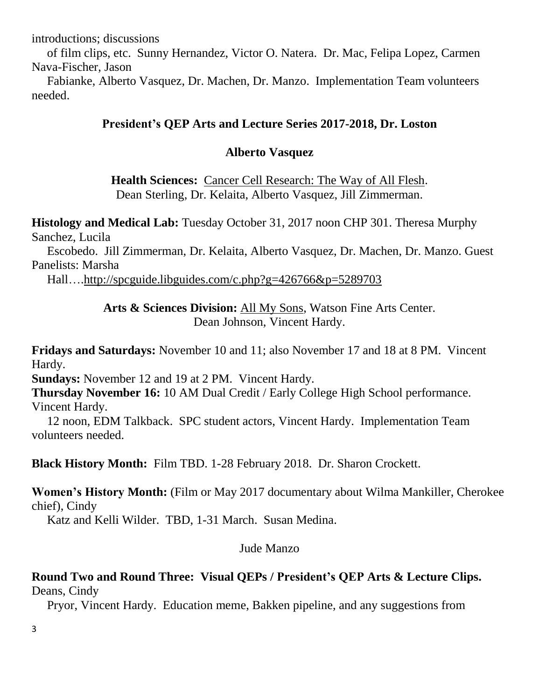introductions; discussions

 of film clips, etc. Sunny Hernandez, Victor O. Natera. Dr. Mac, Felipa Lopez, Carmen Nava-Fischer, Jason

 Fabianke, Alberto Vasquez, Dr. Machen, Dr. Manzo. Implementation Team volunteers needed.

### **President's QEP Arts and Lecture Series 2017-2018, Dr. Loston**

### **Alberto Vasquez**

**Health Sciences:** Cancer Cell Research: The Way of All Flesh. Dean Sterling, Dr. Kelaita, Alberto Vasquez, Jill Zimmerman.

**Histology and Medical Lab:** Tuesday October 31, 2017 noon CHP 301. Theresa Murphy Sanchez, Lucila

 Escobedo. Jill Zimmerman, Dr. Kelaita, Alberto Vasquez, Dr. Machen, Dr. Manzo. Guest Panelists: Marsha

Hall…[.http://spcguide.libguides.com/c.php?g=426766&p=5289703](https://mail.alamo.edu/owa/redir.aspx?C=O6iqIsLSuf3ovY1b3KnDXbqIbPdR_pjdMUVY5pKWykLtsQQH7BTVCA..&URL=http%3a%2f%2fspcguide.libguides.com%2fc.php%3fg%3d426766%26p%3d5289703)

### **Arts & Sciences Division:** All My Sons, Watson Fine Arts Center. Dean Johnson, Vincent Hardy.

**Fridays and Saturdays:** November 10 and 11; also November 17 and 18 at 8 PM. Vincent Hardy.

**Sundays:** November 12 and 19 at 2 PM. Vincent Hardy.

**Thursday November 16:** 10 AM Dual Credit / Early College High School performance. Vincent Hardy.

 12 noon, EDM Talkback. SPC student actors, Vincent Hardy. Implementation Team volunteers needed.

**Black History Month:** Film TBD. 1-28 February 2018. Dr. Sharon Crockett.

**Women's History Month:** (Film or May 2017 documentary about Wilma Mankiller, Cherokee chief), Cindy

Katz and Kelli Wilder. TBD, 1-31 March. Susan Medina.

#### Jude Manzo

#### **Round Two and Round Three: Visual QEPs / President's QEP Arts & Lecture Clips.**  Deans, Cindy

Pryor, Vincent Hardy.Education meme, Bakken pipeline, and any suggestions from